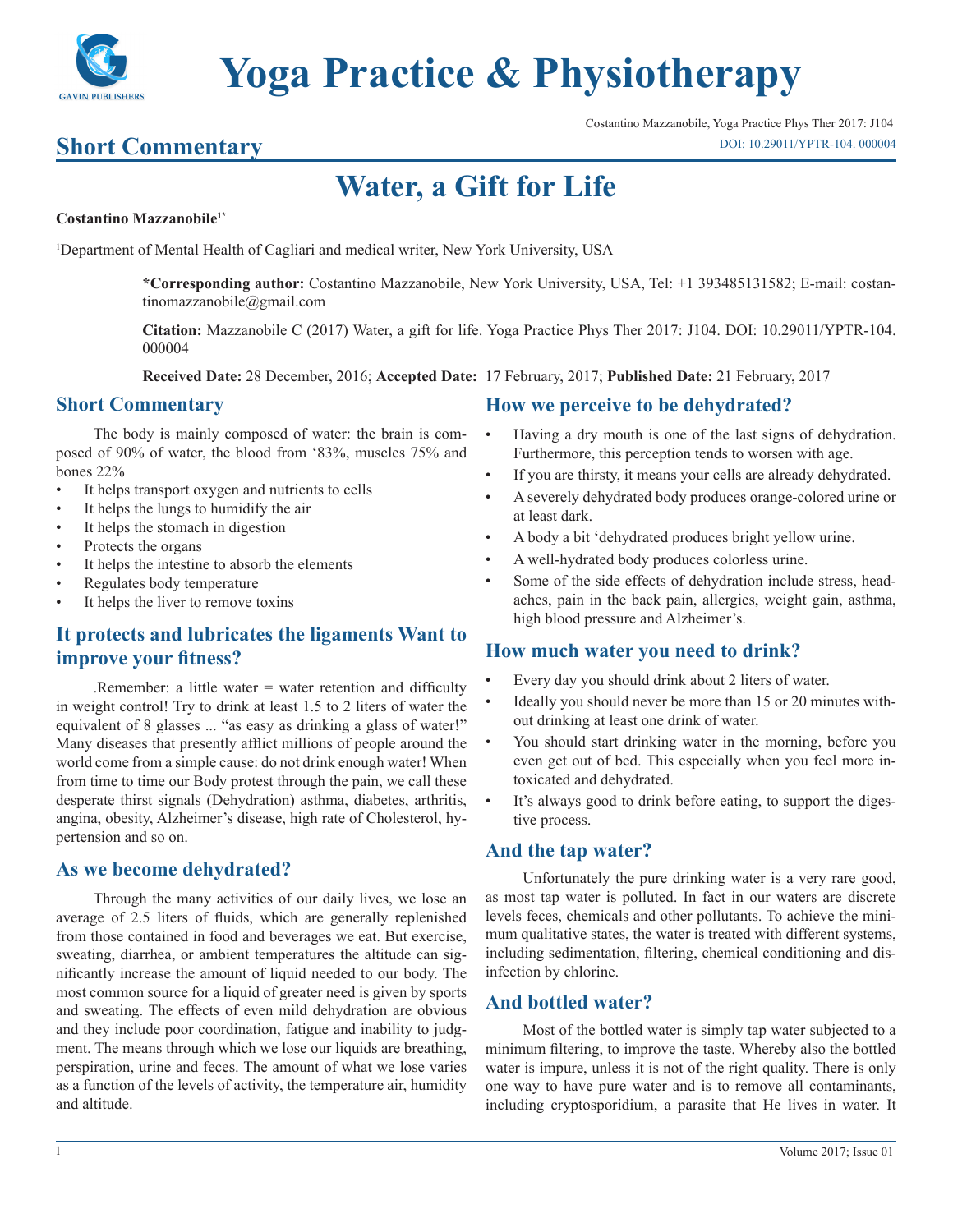

# **Yoga Practice & Physiotherapy**

### **Short Commentary**

## **Water, a Gift for Life**

#### **Costantino Mazzanobile1\***

1 Department of Mental Health of Cagliari and medical writer, New York University, USA

**\*Corresponding author:** Costantino Mazzanobile, New York University, USA, Tel: +1 393485131582; E-mail: costantinomazzanobile@gmail.com

**Citation:** Mazzanobile C (2017) Water, a gift for life. Yoga Practice Phys Ther 2017: J104. DOI: 10.29011/YPTR-104. 000004

**Received Date:** 28 December, 2016; **Accepted Date:** 17 February, 2017; **Published Date:** 21 February, 2017

#### **Short Commentary**

The body is mainly composed of water: the brain is composed of 90% of water, the blood from '83%, muscles 75% and bones 22%

- It helps transport oxygen and nutrients to cells
- It helps the lungs to humidify the air
- It helps the stomach in digestion
- Protects the organs
- It helps the intestine to absorb the elements
- Regulates body temperature
- It helps the liver to remove toxins

#### **It protects and lubricates the ligaments Want to improve your fitness?**

.Remember: a little water = water retention and difficulty in weight control! Try to drink at least 1.5 to 2 liters of water the equivalent of 8 glasses ... "as easy as drinking a glass of water!" Many diseases that presently afflict millions of people around the world come from a simple cause: do not drink enough water! When from time to time our Body protest through the pain, we call these desperate thirst signals (Dehydration) asthma, diabetes, arthritis, angina, obesity, Alzheimer's disease, high rate of Cholesterol, hypertension and so on.

#### **As we become dehydrated?**

Through the many activities of our daily lives, we lose an average of 2.5 liters of fluids, which are generally replenished from those contained in food and beverages we eat. But exercise, sweating, diarrhea, or ambient temperatures the altitude can significantly increase the amount of liquid needed to our body. The most common source for a liquid of greater need is given by sports and sweating. The effects of even mild dehydration are obvious and they include poor coordination, fatigue and inability to judgment. The means through which we lose our liquids are breathing, perspiration, urine and feces. The amount of what we lose varies as a function of the levels of activity, the temperature air, humidity and altitude.

#### **How we perceive to be dehydrated?**

- Having a dry mouth is one of the last signs of dehydration. Furthermore, this perception tends to worsen with age.
- If you are thirsty, it means your cells are already dehydrated.
- A severely dehydrated body produces orange-colored urine or at least dark.
- A body a bit 'dehydrated produces bright yellow urine.
- A well-hydrated body produces colorless urine.
- Some of the side effects of dehydration include stress, headaches, pain in the back pain, allergies, weight gain, asthma, high blood pressure and Alzheimer's.

#### **How much water you need to drink?**

- Every day you should drink about 2 liters of water.
- Ideally you should never be more than 15 or 20 minutes without drinking at least one drink of water.
- You should start drinking water in the morning, before you even get out of bed. This especially when you feel more intoxicated and dehydrated.
- It's always good to drink before eating, to support the digestive process.

#### **And the tap water?**

Unfortunately the pure drinking water is a very rare good, as most tap water is polluted. In fact in our waters are discrete levels feces, chemicals and other pollutants. To achieve the minimum qualitative states, the water is treated with different systems, including sedimentation, filtering, chemical conditioning and disinfection by chlorine.

#### **And bottled water?**

Most of the bottled water is simply tap water subjected to a minimum filtering, to improve the taste. Whereby also the bottled water is impure, unless it is not of the right quality. There is only one way to have pure water and is to remove all contaminants, including cryptosporidium, a parasite that He lives in water. It